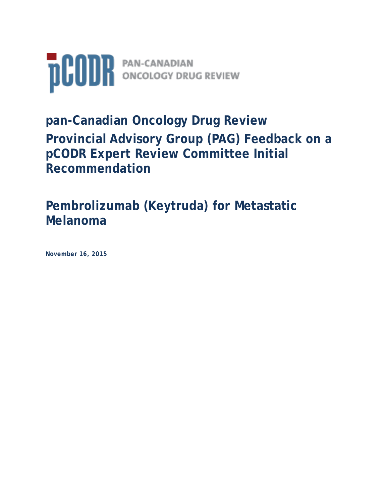

# **pan-Canadian Oncology Drug Review Provincial Advisory Group (PAG) Feedback on a pCODR Expert Review Committee Initial Recommendation**

## **Pembrolizumab (Keytruda) for Metastatic Melanoma**

**November 16, 2015**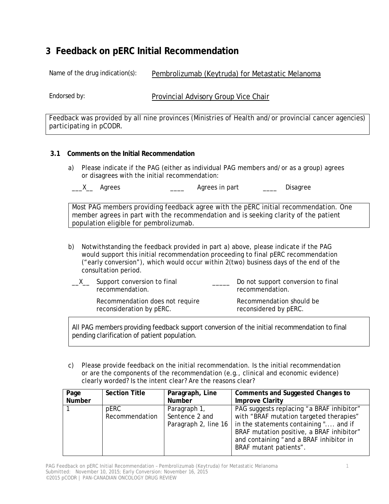## **3 Feedback on pERC Initial Recommendation**

Name of the drug indication(s): Pembrolizumab (Keytruda) for Metastatic Melanoma

Endorsed by: **Provincial Advisory Group Vice Chair** 

Feedback was provided by all nine provinces (Ministries of Health and/or provincial cancer agencies) participating in pCODR.

#### **3.1 Comments on the Initial Recommendation**

a) Please indicate if the PAG (either as individual PAG members and/or as a group) agrees or disagrees with the initial recommendation:

Most PAG members providing feedback agree with the pERC initial recommendation. One member agrees in part with the recommendation and is seeking clarity of the patient population eligible for pembrolizumab.

b) Notwithstanding the feedback provided in part a) above, please indicate if the PAG would support this initial recommendation proceeding to final pERC recommendation ("early conversion"), which would occur within 2(two) business days of the end of the consultation period.

| Support conversion to final<br>recommendation.              | Do not support conversion to final<br>recommendation. |
|-------------------------------------------------------------|-------------------------------------------------------|
| Recommendation does not require<br>reconsideration by pERC. | Recommendation should be<br>reconsidered by pERC.     |

All PAG members providing feedback support conversion of the initial recommendation to final pending clarification of patient population.

c) Please provide feedback on the initial recommendation. Is the initial recommendation or are the components of the recommendation (e.g., clinical and economic evidence) clearly worded? Is the intent clear? Are the reasons clear?

| Page          | <b>Section Title</b> | Paragraph, Line | Comments and Suggested Changes to                            |
|---------------|----------------------|-----------------|--------------------------------------------------------------|
| <b>Number</b> |                      | <b>Number</b>   | <b>Improve Clarity</b>                                       |
|               | pERC                 | Paragraph 1,    | PAG suggests replacing "a BRAF inhibitor"                    |
|               | Recommendation       | Sentence 2 and  | with "BRAF mutation targeted therapies"                      |
|               |                      |                 | Paragraph 2, line 16   in the statements containing " and if |
|               |                      |                 | BRAF mutation positive, a BRAF inhibitor"                    |
|               |                      |                 | and containing "and a BRAF inhibitor in                      |
|               |                      |                 | BRAF mutant patients".                                       |
|               |                      |                 |                                                              |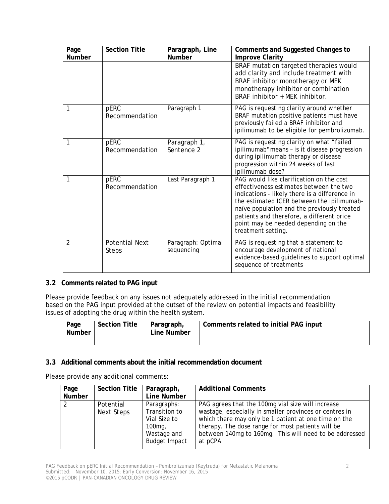| Page<br><b>Number</b> | <b>Section Title</b>                  | Paragraph, Line<br><b>Number</b> | Comments and Suggested Changes to<br><b>Improve Clarity</b>                                                                                                                                                                                                                                                                                  |
|-----------------------|---------------------------------------|----------------------------------|----------------------------------------------------------------------------------------------------------------------------------------------------------------------------------------------------------------------------------------------------------------------------------------------------------------------------------------------|
|                       |                                       |                                  | BRAF mutation targeted therapies would<br>add clarity and include treatment with<br>BRAF inhibitor monotherapy or MEK<br>monotherapy inhibitor or combination<br>BRAF inhibitor + MEK inhibitor.                                                                                                                                             |
| 1                     | pERC<br>Recommendation                | Paragraph 1                      | PAG is requesting clarity around whether<br>BRAF mutation positive patients must have<br>previously failed a BRAF inhibitor and<br>ipilimumab to be eligible for pembrolizumab.                                                                                                                                                              |
| 1                     | pERC<br>Recommendation                | Paragraph 1,<br>Sentence 2       | PAG is requesting clarity on what "failed<br>ipilimumab" means - is it disease progression<br>during ipilimumab therapy or disease<br>progression within 24 weeks of last<br>ipilimumab dose?                                                                                                                                                |
| 1                     | pERC<br>Recommendation                | Last Paragraph 1                 | PAG would like clarification on the cost<br>effectiveness estimates between the two<br>indications - likely there is a difference in<br>the estimated ICER between the ipilimumab-<br>naïve population and the previously treated<br>patients and therefore, a different price<br>point may be needed depending on the<br>treatment setting. |
| $\overline{2}$        | <b>Potential Next</b><br><b>Steps</b> | Paragraph: Optimal<br>sequencing | PAG is requesting that a statement to<br>encourage development of national<br>evidence-based guidelines to support optimal<br>sequence of treatments                                                                                                                                                                                         |

#### **3.2 Comments related to PAG input**

Please provide feedback on any issues not adequately addressed in the initial recommendation based on the PAG input provided at the outset of the review on potential impacts and feasibility issues of adopting the drug within the health system.

| Page<br><b>Number</b> | <b>Section Title</b> | Paragraph,<br>Line Number | Comments related to initial PAG input |
|-----------------------|----------------------|---------------------------|---------------------------------------|
|                       |                      |                           |                                       |

#### **3.3 Additional comments about the initial recommendation document**

Please provide any additional comments:

| Page          | <b>Section Title</b> | Paragraph,           | <b>Additional Comments</b>                             |
|---------------|----------------------|----------------------|--------------------------------------------------------|
| Number        |                      | Line Number          |                                                        |
| $\mathcal{P}$ | Potential            | Paragraphs:          | PAG agrees that the 100mg vial size will increase      |
|               | Next Steps           | Transition to        | wastage, especially in smaller provinces or centres in |
|               |                      | Vial Size to         | which there may only be 1 patient at one time on the   |
|               |                      | $100mg$ ,            | therapy. The dose range for most patients will be      |
|               |                      | Wastage and          | between 140mg to 160mg. This will need to be addressed |
|               |                      | <b>Budget Impact</b> | at pCPA                                                |
|               |                      |                      |                                                        |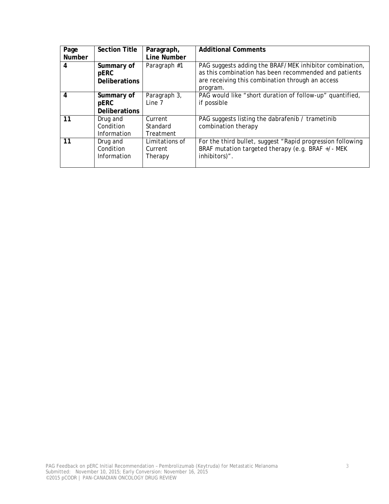| Page   | <b>Section Title</b> | Paragraph,     | <b>Additional Comments</b>                                 |
|--------|----------------------|----------------|------------------------------------------------------------|
| Number |                      | Line Number    |                                                            |
| 4      | Summary of           | Paragraph #1   | PAG suggests adding the BRAF/MEK inhibitor combination,    |
|        | pERC                 |                | as this combination has been recommended and patients      |
|        | <b>Deliberations</b> |                | are receiving this combination through an access           |
|        |                      |                | program.                                                   |
| 4      | Summary of           | Paragraph 3,   | PAG would like "short duration of follow-up" quantified,   |
|        | pERC                 | Line 7         | if possible                                                |
|        | <b>Deliberations</b> |                |                                                            |
| 11     | Drug and             | Current        | PAG suggests listing the dabrafenib / trametinib           |
|        | Condition            | Standard       | combination therapy                                        |
|        | Information          | Treatment      |                                                            |
| 11     | Drug and             | Limitations of | For the third bullet, suggest "Rapid progression following |
|        | Condition            | Current        | BRAF mutation targeted therapy (e.g. BRAF +/- MEK          |
|        | Information          | Therapy        | inhibitors)".                                              |
|        |                      |                |                                                            |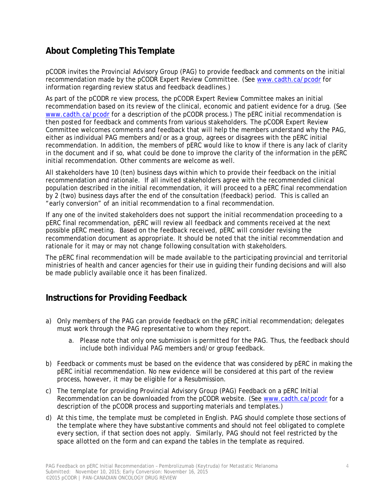## **About Completing This Template**

pCODR invites the Provincial Advisory Group (PAG) to provide feedback and comments on the initial recommendation made by the pCODR Expert Review Committee. (See www.cadth.ca/pcodr for information regarding review status and feedback deadlines.)

As part of the pCODR re view process, the pCODR Expert Review Committee makes an initial recommendation based on its review of the clinical, economic and patient evidence for a drug. (See www.cadth.ca/pcodr for a description of the pCODR process.) The pERC initial recommendation is then posted for feedback and comments from various stakeholders. The pCODR Expert Review Committee welcomes comments and feedback that will help the members understand why the PAG, either as individual PAG members and/or as a group, agrees or disagrees with the pERC initial recommendation. In addition, the members of pERC would like to know if there is any lack of clarity in the document and if so, what could be done to improve the clarity of the information in the pERC initial recommendation. Other comments are welcome as well.

All stakeholders have 10 (ten) business days within which to provide their feedback on the initial recommendation and rationale. If all invited stakeholders agree with the recommended clinical population described in the initial recommendation, it will proceed to a pERC final recommendation by 2 (two) business days after the end of the consultation (feedback) period. This is called an "early conversion" of an initial recommendation to a final recommendation.

If any one of the invited stakeholders does not support the initial recommendation proceeding to a pERC final recommendation, pERC will review all feedback and comments received at the next possible pERC meeting. Based on the feedback received, pERC will consider revising the recommendation document as appropriate. It should be noted that the initial recommendation and rationale for it may or may not change following consultation with stakeholders.

The pERC final recommendation will be made available to the participating provincial and territorial ministries of health and cancer agencies for their use in guiding their funding decisions and will also be made publicly available once it has been finalized.

### **Instructions for Providing Feedback**

- a) Only members of the PAG can provide feedback on the pERC initial recommendation; delegates must work through the PAG representative to whom they report.
	- a. Please note that only one submission is permitted for the PAG. Thus, the feedback should include both individual PAG members and/or group feedback.
- b) Feedback or comments must be based on the evidence that was considered by pERC in making the pERC initial recommendation. No new evidence will be considered at this part of the review process, however, it may be eligible for a Resubmission.
- c) The template for providing *Provincial Advisory Group (PAG) Feedback on a pERC Initial Recommendation* can be downloaded from the pCODR website. (See www.cadth.ca/pcodr for a description of the pCODR process and supporting materials and templates.)
- d) At this time, the template must be completed in English. PAG should complete those sections of the template where they have substantive comments and should not feel obligated to complete every section, if that section does not apply. Similarly, PAG should not feel restricted by the space allotted on the form and can expand the tables in the template as required.